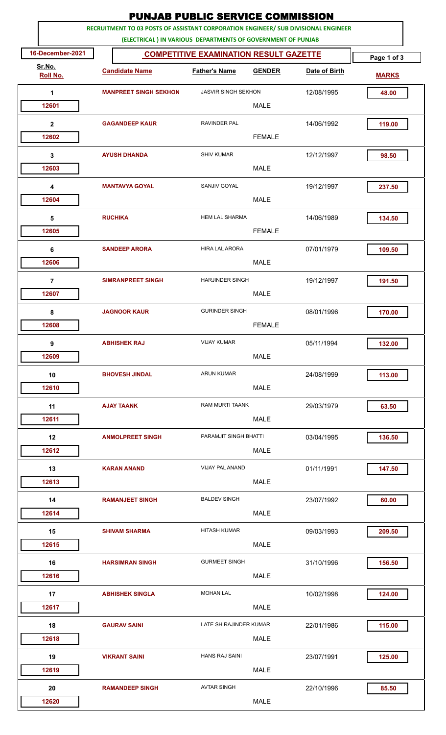|                                                                                                                                                    | <b>PUNJAB PUBLIC SERVICE COMMISSION</b>       |                            |               |               |              |  |  |
|----------------------------------------------------------------------------------------------------------------------------------------------------|-----------------------------------------------|----------------------------|---------------|---------------|--------------|--|--|
| RECRUITMENT TO 03 POSTS OF ASSISTANT CORPORATION ENGINEER/ SUB DIVISIONAL ENGINEER<br>(ELECTRICAL ) IN VARIOUS DEPARTMENTS OF GOVERNMENT OF PUNJAB |                                               |                            |               |               |              |  |  |
| 16-December-2021                                                                                                                                   | <b>COMPETITIVE EXAMINATION RESULT GAZETTE</b> |                            | Page 1 of 3   |               |              |  |  |
| Sr.No.<br><b>Roll No.</b>                                                                                                                          | <b>Candidate Name</b>                         | <b>Father's Name</b>       | <b>GENDER</b> | Date of Birth | <b>MARKS</b> |  |  |
| 1                                                                                                                                                  | <b>MANPREET SINGH SEKHON</b>                  | <b>JASVIR SINGH SEKHON</b> |               | 12/08/1995    | 48.00        |  |  |
| 12601                                                                                                                                              |                                               |                            | <b>MALE</b>   |               |              |  |  |
| $\mathbf{2}$                                                                                                                                       | <b>GAGANDEEP KAUR</b>                         | <b>RAVINDER PAL</b>        |               | 14/06/1992    | 119.00       |  |  |
| 12602                                                                                                                                              |                                               |                            | <b>FEMALE</b> |               |              |  |  |
| 3                                                                                                                                                  | <b>AYUSH DHANDA</b>                           | <b>SHIV KUMAR</b>          |               | 12/12/1997    | 98.50        |  |  |
| 12603                                                                                                                                              |                                               |                            | <b>MALE</b>   |               |              |  |  |
| 4                                                                                                                                                  | <b>MANTAVYA GOYAL</b>                         | SANJIV GOYAL               |               | 19/12/1997    | 237.50       |  |  |
| 12604                                                                                                                                              |                                               |                            | <b>MALE</b>   |               |              |  |  |
| 5<br>12605                                                                                                                                         | <b>RUCHIKA</b>                                | <b>HEM LAL SHARMA</b>      | <b>FEMALE</b> | 14/06/1989    | 134.50       |  |  |
| 6                                                                                                                                                  | <b>SANDEEP ARORA</b>                          | <b>HIRA LAL ARORA</b>      |               | 07/01/1979    | 109.50       |  |  |
| 12606                                                                                                                                              |                                               |                            | <b>MALE</b>   |               |              |  |  |
| $\overline{7}$                                                                                                                                     | <b>SIMRANPREET SINGH</b>                      | <b>HARJINDER SINGH</b>     |               | 19/12/1997    | 191.50       |  |  |
| 12607                                                                                                                                              |                                               |                            | <b>MALE</b>   |               |              |  |  |
| 8                                                                                                                                                  | <b>JAGNOOR KAUR</b>                           | <b>GURINDER SINGH</b>      |               | 08/01/1996    | 170.00       |  |  |
| 12608                                                                                                                                              |                                               |                            | <b>FEMALE</b> |               |              |  |  |
| 9                                                                                                                                                  | <b>ABHISHEK RAJ</b>                           | <b>VIJAY KUMAR</b>         |               | 05/11/1994    | 132.00       |  |  |
| 12609                                                                                                                                              |                                               |                            | <b>MALE</b>   |               |              |  |  |
| 10                                                                                                                                                 | <b>BHOVESH JINDAL</b>                         | <b>ARUN KUMAR</b>          |               | 24/08/1999    | 113.00       |  |  |
| 12610                                                                                                                                              |                                               |                            | <b>MALE</b>   |               |              |  |  |
| 11                                                                                                                                                 | <b>AJAY TAANK</b>                             | RAM MURTI TAANK            |               | 29/03/1979    | 63.50        |  |  |
| 12611                                                                                                                                              |                                               |                            | <b>MALE</b>   |               |              |  |  |
| 12<br>12612                                                                                                                                        | <b>ANMOLPREET SINGH</b>                       | PARAMJIT SINGH BHATTI      | <b>MALE</b>   | 03/04/1995    | 136.50       |  |  |
|                                                                                                                                                    | <b>KARAN ANAND</b>                            | VIJAY PAL ANAND            |               |               |              |  |  |
| 13<br>12613                                                                                                                                        |                                               |                            | <b>MALE</b>   | 01/11/1991    | 147.50       |  |  |
| 14                                                                                                                                                 | <b>RAMANJEET SINGH</b>                        | <b>BALDEV SINGH</b>        |               | 23/07/1992    | 60.00        |  |  |
| 12614                                                                                                                                              |                                               |                            | <b>MALE</b>   |               |              |  |  |
| 15                                                                                                                                                 | <b>SHIVAM SHARMA</b>                          | <b>HITASH KUMAR</b>        |               | 09/03/1993    | 209.50       |  |  |
| 12615                                                                                                                                              |                                               |                            | <b>MALE</b>   |               |              |  |  |
| 16                                                                                                                                                 | <b>HARSIMRAN SINGH</b>                        | <b>GURMEET SINGH</b>       |               | 31/10/1996    | 156.50       |  |  |
| 12616                                                                                                                                              |                                               |                            | <b>MALE</b>   |               |              |  |  |
| 17                                                                                                                                                 | <b>ABHISHEK SINGLA</b>                        | <b>MOHAN LAL</b>           |               | 10/02/1998    | 124.00       |  |  |
| 12617                                                                                                                                              |                                               |                            | <b>MALE</b>   |               |              |  |  |
| 18                                                                                                                                                 | <b>GAURAV SAINI</b>                           | LATE SH RAJINDER KUMAR     |               | 22/01/1986    | 115.00       |  |  |
| 12618                                                                                                                                              |                                               |                            | <b>MALE</b>   |               |              |  |  |
| 19<br>12619                                                                                                                                        | <b>VIKRANT SAINI</b>                          | <b>HANS RAJ SAINI</b>      | <b>MALE</b>   | 23/07/1991    | 125.00       |  |  |
|                                                                                                                                                    |                                               |                            |               |               |              |  |  |
| 20<br>12620                                                                                                                                        | <b>RAMANDEEP SINGH</b>                        | <b>AVTAR SINGH</b>         | <b>MALE</b>   | 22/10/1996    | 85.50        |  |  |
|                                                                                                                                                    |                                               |                            |               |               |              |  |  |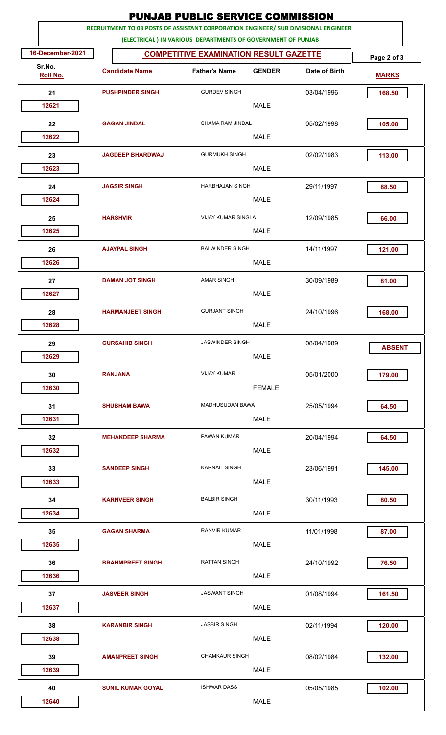|                           | <b>PUNJAB PUBLIC SERVICE COMMISSION</b>                                            |                                                             |               |               |               |  |  |
|---------------------------|------------------------------------------------------------------------------------|-------------------------------------------------------------|---------------|---------------|---------------|--|--|
|                           | RECRUITMENT TO 03 POSTS OF ASSISTANT CORPORATION ENGINEER/ SUB DIVISIONAL ENGINEER |                                                             |               |               |               |  |  |
|                           |                                                                                    | (ELECTRICAL) IN VARIOUS DEPARTMENTS OF GOVERNMENT OF PUNJAB |               |               |               |  |  |
| 16-December-2021          |                                                                                    | <b>COMPETITIVE EXAMINATION RESULT GAZETTE</b>               |               |               | Page 2 of 3   |  |  |
| Sr.No.<br><b>Roll No.</b> | <b>Candidate Name</b>                                                              | <b>Father's Name</b>                                        | <b>GENDER</b> | Date of Birth | <b>MARKS</b>  |  |  |
| 21                        | <b>PUSHPINDER SINGH</b>                                                            | <b>GURDEV SINGH</b>                                         |               | 03/04/1996    | 168.50        |  |  |
| 12621                     |                                                                                    |                                                             | <b>MALE</b>   |               |               |  |  |
| 22                        | <b>GAGAN JINDAL</b>                                                                | SHAMA RAM JINDAL                                            |               | 05/02/1998    | 105.00        |  |  |
| 12622                     |                                                                                    |                                                             | <b>MALE</b>   |               |               |  |  |
| 23                        | <b>JAGDEEP BHARDWAJ</b>                                                            | <b>GURMUKH SINGH</b>                                        |               | 02/02/1983    | 113.00        |  |  |
| 12623                     |                                                                                    |                                                             | <b>MALE</b>   |               |               |  |  |
|                           | <b>JAGSIR SINGH</b>                                                                | <b>HARBHAJAN SINGH</b>                                      |               | 29/11/1997    |               |  |  |
| 24<br>12624               |                                                                                    |                                                             | <b>MALE</b>   |               | 88.50         |  |  |
|                           |                                                                                    |                                                             |               |               |               |  |  |
| 25                        | <b>HARSHVIR</b>                                                                    | <b>VIJAY KUMAR SINGLA</b>                                   |               | 12/09/1985    | 66.00         |  |  |
| 12625                     |                                                                                    |                                                             | <b>MALE</b>   |               |               |  |  |
| 26                        | <b>AJAYPAL SINGH</b>                                                               | <b>BALWINDER SINGH</b>                                      |               | 14/11/1997    | 121.00        |  |  |
| 12626                     |                                                                                    |                                                             | <b>MALE</b>   |               |               |  |  |
| 27                        | <b>DAMAN JOT SINGH</b>                                                             | <b>AMAR SINGH</b>                                           |               | 30/09/1989    | 81.00         |  |  |
| 12627                     |                                                                                    |                                                             | <b>MALE</b>   |               |               |  |  |
| 28                        | <b>HARMANJEET SINGH</b>                                                            | <b>GURJANT SINGH</b>                                        |               | 24/10/1996    | 168.00        |  |  |
| 12628                     |                                                                                    |                                                             | <b>MALE</b>   |               |               |  |  |
| 29                        | <b>GURSAHIB SINGH</b>                                                              | <b>JASWINDER SINGH</b>                                      |               | 08/04/1989    |               |  |  |
| 12629                     |                                                                                    |                                                             | <b>MALE</b>   |               | <b>ABSENT</b> |  |  |
| 30                        | <b>RANJANA</b>                                                                     | <b>VIJAY KUMAR</b>                                          |               | 05/01/2000    | 179.00        |  |  |
| 12630                     |                                                                                    |                                                             | <b>FEMALE</b> |               |               |  |  |
|                           |                                                                                    | <b>MADHUSUDAN BAWA</b>                                      |               |               |               |  |  |
| 31<br>12631               | <b>SHUBHAM BAWA</b>                                                                |                                                             | <b>MALE</b>   | 25/05/1994    | 64.50         |  |  |
|                           |                                                                                    |                                                             |               |               |               |  |  |
| 32                        | <b>MEHAKDEEP SHARMA</b>                                                            | PAWAN KUMAR                                                 |               | 20/04/1994    | 64.50         |  |  |
| 12632                     |                                                                                    |                                                             | <b>MALE</b>   |               |               |  |  |
| 33                        | <b>SANDEEP SINGH</b>                                                               | <b>KARNAIL SINGH</b>                                        |               | 23/06/1991    | 145.00        |  |  |
| 12633                     |                                                                                    |                                                             | <b>MALE</b>   |               |               |  |  |
| 34                        | <b>KARNVEER SINGH</b>                                                              | <b>BALBIR SINGH</b>                                         |               | 30/11/1993    | 80.50         |  |  |
| 12634                     |                                                                                    |                                                             | <b>MALE</b>   |               |               |  |  |
| 35                        | <b>GAGAN SHARMA</b>                                                                | <b>RANVIR KUMAR</b>                                         |               | 11/01/1998    | 87.00         |  |  |
| 12635                     |                                                                                    |                                                             | <b>MALE</b>   |               |               |  |  |
| 36                        | <b>BRAHMPREET SINGH</b>                                                            | <b>RATTAN SINGH</b>                                         |               | 24/10/1992    | 76.50         |  |  |
| 12636                     |                                                                                    |                                                             | <b>MALE</b>   |               |               |  |  |
| 37                        | <b>JASVEER SINGH</b>                                                               | <b>JASWANT SINGH</b>                                        |               | 01/08/1994    | 161.50        |  |  |
| 12637                     |                                                                                    |                                                             | <b>MALE</b>   |               |               |  |  |
| 38                        | <b>KARANBIR SINGH</b>                                                              | <b>JASBIR SINGH</b>                                         |               | 02/11/1994    | 120.00        |  |  |
| 12638                     |                                                                                    |                                                             | <b>MALE</b>   |               |               |  |  |
| 39                        | <b>AMANPREET SINGH</b>                                                             | <b>CHAMKAUR SINGH</b>                                       |               | 08/02/1984    | 132.00        |  |  |
| 12639                     |                                                                                    |                                                             | MALE          |               |               |  |  |
|                           |                                                                                    |                                                             |               |               |               |  |  |
| 40                        | <b>SUNIL KUMAR GOYAL</b>                                                           | <b>ISHWAR DASS</b>                                          |               | 05/05/1985    | 102.00        |  |  |
| 12640                     |                                                                                    |                                                             | <b>MALE</b>   |               |               |  |  |